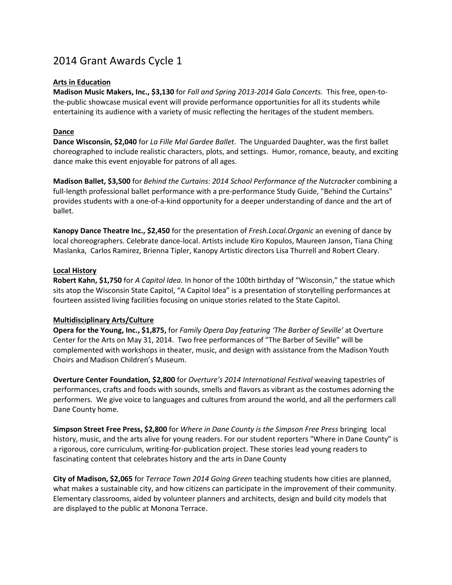# 2014 Grant Awards Cycle 1

# **Arts in Education**

**Madison Music Makers, Inc., \$3,130** for *Fall and Spring 2013-2014 Gala Concerts.* This free, open-tothe-public showcase musical event will provide performance opportunities for all its students while entertaining its audience with a variety of music reflecting the heritages of the student members.

# **Dance**

**Dance Wisconsin, \$2,040** for *La Fille Mal Gardee Ballet*. The Unguarded Daughter, was the first ballet choreographed to include realistic characters, plots, and settings. Humor, romance, beauty, and exciting dance make this event enjoyable for patrons of all ages.

**Madison Ballet, \$3,500** for *Behind the Curtains: 2014 School Performance of the Nutcracker* combining a full-length professional ballet performance with a pre-performance Study Guide, "Behind the Curtains" provides students with a one-of-a-kind opportunity for a deeper understanding of dance and the art of ballet.

**Kanopy Dance Theatre Inc., \$2,450** for the presentation of *Fresh.Local.Organic* an evening of dance by local choreographers. Celebrate dance-local. Artists include Kiro Kopulos, Maureen Janson, Tiana Ching Maslanka, Carlos Ramirez, Brienna Tipler, Kanopy Artistic directors Lisa Thurrell and Robert Cleary.

### **Local History**

**Robert Kahn, \$1,750** for *A Capitol Idea.* In honor of the 100th birthday of "Wisconsin," the statue which sits atop the Wisconsin State Capitol, "A Capitol Idea" is a presentation of storytelling performances at fourteen assisted living facilities focusing on unique stories related to the State Capitol.

### **Multidisciplinary Arts/Culture**

**Opera for the Young, Inc., \$1,875,** for *Family Opera Day featuring 'The Barber of Seville'* at Overture Center for the Arts on May 31, 2014. Two free performances of "The Barber of Seville" will be complemented with workshops in theater, music, and design with assistance from the Madison Youth Choirs and Madison Children's Museum.

**Overture Center Foundation, \$2,800** for *Overture's 2014 International Festival* weaving tapestries of performances, crafts and foods with sounds, smells and flavors as vibrant as the costumes adorning the performers. We give voice to languages and cultures from around the world, and all the performers call Dane County home.

**Simpson Street Free Press, \$2,800** for *Where in Dane County is the Simpson Free Press* bringing local history, music, and the arts alive for young readers. For our student reporters "Where in Dane County" is a rigorous, core curriculum, writing-for-publication project. These stories lead young readers to fascinating content that celebrates history and the arts in Dane County

**City of Madison, \$2,065** for *Terrace Town 2014 Going Green* teaching students how cities are planned, what makes a sustainable city, and how citizens can participate in the improvement of their community. Elementary classrooms, aided by volunteer planners and architects, design and build city models that are displayed to the public at Monona Terrace.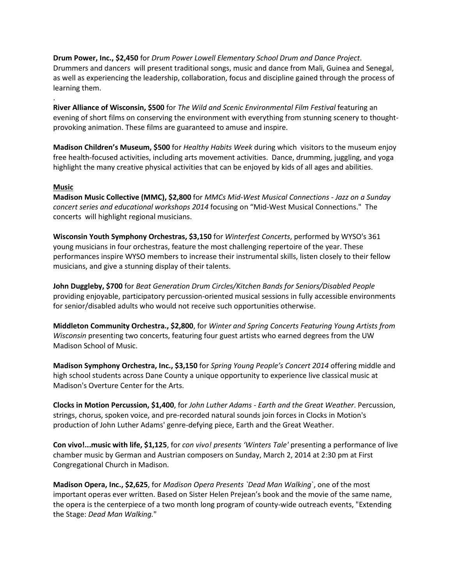**Drum Power, Inc., \$2,450** for *Drum Power Lowell Elementary School Drum and Dance Project*. Drummers and dancers will present traditional songs, music and dance from Mali, Guinea and Senegal, as well as experiencing the leadership, collaboration, focus and discipline gained through the process of learning them.

**River Alliance of Wisconsin, \$500** for *The Wild and Scenic Environmental Film Festival* featuring an evening of short films on conserving the environment with everything from stunning scenery to thoughtprovoking animation. These films are guaranteed to amuse and inspire.

**Madison Children's Museum, \$500** for *Healthy Habits Week* during which visitors to the museum enjoy free health-focused activities, including arts movement activities. Dance, drumming, juggling, and yoga highlight the many creative physical activities that can be enjoyed by kids of all ages and abilities.

### **Music**

.

**Madison Music Collective (MMC), \$2,800** for *MMCs Mid-West Musical Connections - Jazz on a Sunday concert series and educational workshops 2014* focusing on "Mid-West Musical Connections." The concerts will highlight regional musicians.

**Wisconsin Youth Symphony Orchestras, \$3,150** for *Winterfest Concerts*, performed by WYSO's 361 young musicians in four orchestras, feature the most challenging repertoire of the year. These performances inspire WYSO members to increase their instrumental skills, listen closely to their fellow musicians, and give a stunning display of their talents.

**John Duggleby, \$700** for *Beat Generation Drum Circles/Kitchen Bands for Seniors/Disabled People* providing enjoyable, participatory percussion-oriented musical sessions in fully accessible environments for senior/disabled adults who would not receive such opportunities otherwise.

**Middleton Community Orchestra., \$2,800**, for *Winter and Spring Concerts Featuring Young Artists from Wisconsin* presenting two concerts, featuring four guest artists who earned degrees from the UW Madison School of Music.

**Madison Symphony Orchestra, Inc., \$3,150** for *Spring Young People's Concert 2014* offering middle and high school students across Dane County a unique opportunity to experience live classical music at Madison's Overture Center for the Arts.

**Clocks in Motion Percussion, \$1,400**, for *John Luther Adams - Earth and the Great Weather*. Percussion, strings, chorus, spoken voice, and pre-recorded natural sounds join forces in Clocks in Motion's production of John Luther Adams' genre-defying piece, Earth and the Great Weather.

**Con vivo!...music with life, \$1,125**, for *con vivo! presents 'Winters Tale'* presenting a performance of live chamber music by German and Austrian composers on Sunday, March 2, 2014 at 2:30 pm at First Congregational Church in Madison.

**Madison Opera, Inc., \$2,625**, for *Madison Opera Presents `Dead Man Walking*`, one of the most important operas ever written. Based on Sister Helen Prejean's book and the movie of the same name, the opera is the centerpiece of a two month long program of county-wide outreach events, "Extending the Stage: *Dead Man Walking.*"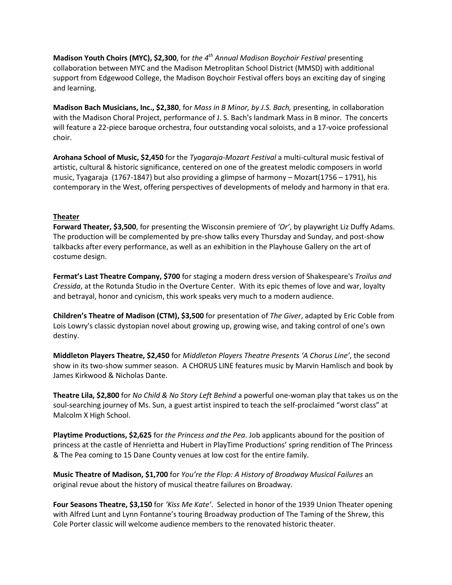**Madison Youth Choirs (MYC), \$2,300**, for *the 4th Annual Madison Boychoir Festival* presenting collaboration between MYC and the Madison Metroplitan School District (MMSD) with additional support from Edgewood College, the Madison Boychoir Festival offers boys an exciting day of singing and learning.

**Madison Bach Musicians, Inc., \$2,380**, for *Mass in B Minor, by J.S. Bach,* presenting, in collaboration with the Madison Choral Project, performance of J. S. Bach's landmark Mass in B minor. The concerts will feature a 22-piece baroque orchestra, four outstanding vocal soloists, and a 17-voice professional choir.

**Arohana School of Music, \$2,450** for the *Tyagaraja-Mozart Festival* a multi-cultural music festival of artistic, cultural & historic significance, centered on one of the greatest melodic composers in world music, Tyagaraja (1767-1847) but also providing a glimpse of harmony – Mozart(1756 – 1791), his contemporary in the West, offering perspectives of developments of melody and harmony in that era.

### **Theater**

**Forward Theater, \$3,500**, for presenting the Wisconsin premiere of *'Or'*, by playwright Liz Duffy Adams. The production will be complemented by pre-show talks every Thursday and Sunday, and post-show talkbacks after every performance, as well as an exhibition in the Playhouse Gallery on the art of costume design.

**Fermat's Last Theatre Company, \$700** for staging a modern dress version of Shakespeare's *Troilus and Cressida*, at the Rotunda Studio in the Overture Center. With its epic themes of love and war, loyalty and betrayal, honor and cynicism, this work speaks very much to a modern audience.

**Children's Theatre of Madison (CTM), \$3,500** for presentation of *The Giver*, adapted by Eric Coble from Lois Lowry's classic dystopian novel about growing up, growing wise, and taking control of one's own destiny.

**Middleton Players Theatre, \$2,450** for *Middleton Players Theatre Presents 'A Chorus Line'*, the second show in its two-show summer season. A CHORUS LINE features music by Marvin Hamlisch and book by James Kirkwood & Nicholas Dante.

**Theatre Lila, \$2,800** for *No Child & No Story Left Behind* a powerful one-woman play that takes us on the soul-searching journey of Ms. Sun, a guest artist inspired to teach the self-proclaimed "worst class" at Malcolm X High School.

**Playtime Productions, \$2,625** for *the Princess and the Pea*. Job applicants abound for the position of princess at the castle of Henrietta and Hubert in PlayTime Productions' spring rendition of The Princess & The Pea coming to 15 Dane County venues at low cost for the entire family.

**Music Theatre of Madison, \$1,700** for *You're the Flop: A History of Broadway Musical Failures* an original revue about the history of musical theatre failures on Broadway.

**Four Seasons Theatre, \$3,150** for *'Kiss Me Kate'*. Selected in honor of the 1939 Union Theater opening with Alfred Lunt and Lynn Fontanne's touring Broadway production of The Taming of the Shrew, this Cole Porter classic will welcome audience members to the renovated historic theater.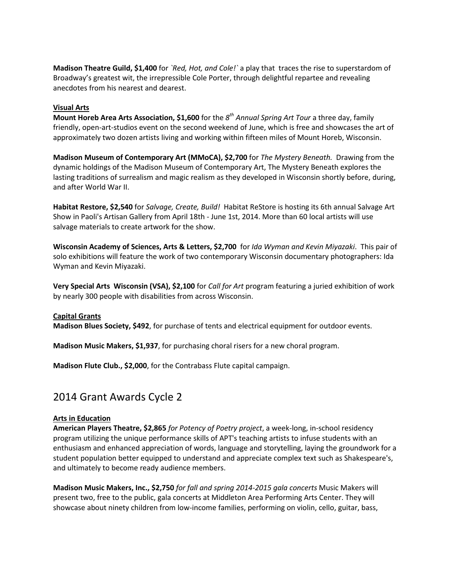**Madison Theatre Guild, \$1,400** for *`Red, Hot, and Cole!`* a play that traces the rise to superstardom of Broadway's greatest wit, the irrepressible Cole Porter, through delightful repartee and revealing anecdotes from his nearest and dearest.

### **Visual Arts**

**Mount Horeb Area Arts Association, \$1,600** for the *8th Annual Spring Art Tour* a three day, family friendly, open-art-studios event on the second weekend of June, which is free and showcases the art of approximately two dozen artists living and working within fifteen miles of Mount Horeb, Wisconsin.

**Madison Museum of Contemporary Art (MMoCA), \$2,700** for *The Mystery Beneath.* Drawing from the dynamic holdings of the Madison Museum of Contemporary Art, The Mystery Beneath explores the lasting traditions of surrealism and magic realism as they developed in Wisconsin shortly before, during, and after World War II.

**Habitat Restore, \$2,540** for *Salvage, Create, Build!* Habitat ReStore is hosting its 6th annual Salvage Art Show in Paoli's Artisan Gallery from April 18th - June 1st, 2014. More than 60 local artists will use salvage materials to create artwork for the show.

**Wisconsin Academy of Sciences, Arts & Letters, \$2,700** for *Ida Wyman and Kevin Miyazaki*. This pair of solo exhibitions will feature the work of two contemporary Wisconsin documentary photographers: Ida Wyman and Kevin Miyazaki.

**Very Special Arts Wisconsin (VSA), \$2,100** for *Call for Art* program featuring a juried exhibition of work by nearly 300 people with disabilities from across Wisconsin.

### **Capital Grants**

**Madison Blues Society, \$492**, for purchase of tents and electrical equipment for outdoor events.

**Madison Music Makers, \$1,937**, for purchasing choral risers for a new choral program.

**Madison Flute Club., \$2,000**, for the Contrabass Flute capital campaign.

# 2014 Grant Awards Cycle 2

### **Arts in Education**

**American Players Theatre, \$2,865** *for Potency of Poetry project*, a week-long, in-school residency program utilizing the unique performance skills of APT's teaching artists to infuse students with an enthusiasm and enhanced appreciation of words, language and storytelling, laying the groundwork for a student population better equipped to understand and appreciate complex text such as Shakespeare's, and ultimately to become ready audience members.

**Madison Music Makers, Inc., \$2,750** *for fall and spring 2014-2015 gala concerts* Music Makers will present two, free to the public, gala concerts at Middleton Area Performing Arts Center. They will showcase about ninety children from low-income families, performing on violin, cello, guitar, bass,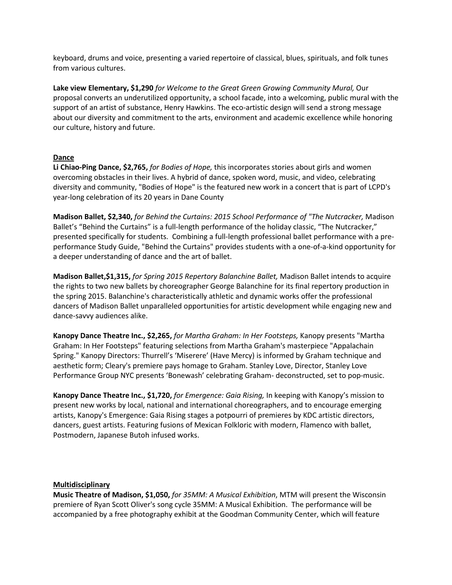keyboard, drums and voice, presenting a varied repertoire of classical, blues, spirituals, and folk tunes from various cultures.

**Lake view Elementary, \$1,290** *for Welcome to the Great Green Growing Community Mural,* Our proposal converts an underutilized opportunity, a school facade, into a welcoming, public mural with the support of an artist of substance, Henry Hawkins. The eco-artistic design will send a strong message about our diversity and commitment to the arts, environment and academic excellence while honoring our culture, history and future.

# **Dance**

**Li Chiao-Ping Dance, \$2,765,** *for Bodies of Hope,* this incorporates stories about girls and women overcoming obstacles in their lives. A hybrid of dance, spoken word, music, and video, celebrating diversity and community, "Bodies of Hope" is the featured new work in a concert that is part of LCPD's year-long celebration of its 20 years in Dane County

**Madison Ballet, \$2,340,** *for Behind the Curtains: 2015 School Performance of "The Nutcracker,* Madison Ballet's "Behind the Curtains" is a full-length performance of the holiday classic, "The Nutcracker," presented specifically for students. Combining a full-length professional ballet performance with a preperformance Study Guide, "Behind the Curtains" provides students with a one-of-a-kind opportunity for a deeper understanding of dance and the art of ballet.

**Madison Ballet,\$1,315,** *for Spring 2015 Repertory Balanchine Ballet,* Madison Ballet intends to acquire the rights to two new ballets by choreographer George Balanchine for its final repertory production in the spring 2015. Balanchine's characteristically athletic and dynamic works offer the professional dancers of Madison Ballet unparalleled opportunities for artistic development while engaging new and dance-savvy audiences alike.

**Kanopy Dance Theatre Inc., \$2,265,** *for Martha Graham: In Her Footsteps,* Kanopy presents "Martha Graham: In Her Footsteps" featuring selections from Martha Graham's masterpiece "Appalachain Spring." Kanopy Directors: Thurrell's 'Miserere' (Have Mercy) is informed by Graham technique and aesthetic form; Cleary's premiere pays homage to Graham. Stanley Love, Director, Stanley Love Performance Group NYC presents 'Bonewash' celebrating Graham- deconstructed, set to pop-music.

**Kanopy Dance Theatre Inc., \$1,720,** *for Emergence: Gaia Rising,* In keeping with Kanopy's mission to present new works by local, national and international choreographers, and to encourage emerging artists, Kanopy's Emergence: Gaia Rising stages a potpourri of premieres by KDC artistic directors, dancers, guest artists. Featuring fusions of Mexican Folkloric with modern, Flamenco with ballet, Postmodern, Japanese Butoh infused works.

### **Multidisciplinary**

**Music Theatre of Madison, \$1,050,** *for 35MM: A Musical Exhibition*, MTM will present the Wisconsin premiere of Ryan Scott Oliver's song cycle 35MM: A Musical Exhibition. The performance will be accompanied by a free photography exhibit at the Goodman Community Center, which will feature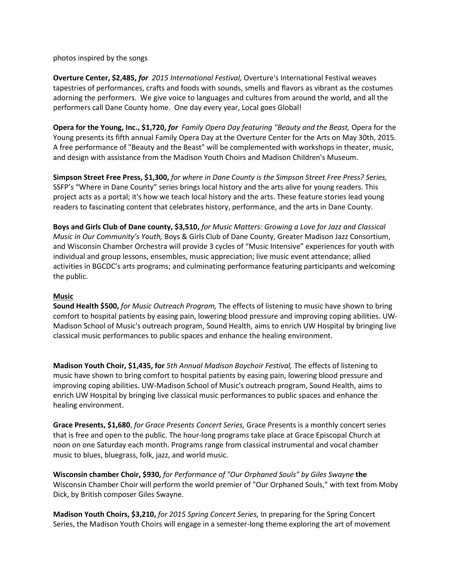photos inspired by the songs

**Overture Center, \$2,485,** *for 2015 International Festival,* Overture's International Festival weaves tapestries of performances, crafts and foods with sounds, smells and flavors as vibrant as the costumes adorning the performers. We give voice to languages and cultures from around the world, and all the performers call Dane County home. One day every year, Local goes Global!

**Opera for the Young, Inc., \$1,720,** *for Family Opera Day featuring "Beauty and the Beast,* Opera for the Young presents its fifth annual Family Opera Day at the Overture Center for the Arts on May 30th, 2015. A free performance of "Beauty and the Beast" will be complemented with workshops in theater, music, and design with assistance from the Madison Youth Choirs and Madison Children's Museum.

**Simpson Street Free Press, \$1,300,** *for where in Dane County is the Simpson Street Free Press? Series,* SSFP's "Where in Dane County" series brings local history and the arts alive for young readers. This project acts as a portal; it's how we teach local history and the arts. These feature stories lead young readers to fascinating content that celebrates history, performance, and the arts in Dane County.

**Boys and Girls Club of Dane county, \$3,510,** *for Music Matters: Growing a Love for Jazz and Classical Music in Our Community's Youth,* Boys & Girls Club of Dane County, Greater Madison Jazz Consortium, and Wisconsin Chamber Orchestra will provide 3 cycles of "Music Intensive" experiences for youth with individual and group lessons, ensembles, music appreciation; live music event attendance; allied activities in BGCDC's arts programs; and culminating performance featuring participants and welcoming the public.

### **Music**

**Sound Health \$500,** *for Music Outreach Program,* The effects of listening to music have shown to bring comfort to hospital patients by easing pain, lowering blood pressure and improving coping abilities. UW-Madison School of Music's outreach program, Sound Health, aims to enrich UW Hospital by bringing live classical music performances to public spaces and enhance the healing environment.

**Madison Youth Choir, \$1,435, for** *5th Annual Madison Boychoir Festival,* The effects of listening to music have shown to bring comfort to hospital patients by easing pain, lowering blood pressure and improving coping abilities. UW-Madison School of Music's outreach program, Sound Health, aims to enrich UW Hospital by bringing live classical music performances to public spaces and enhance the healing environment.

**Grace Presents, \$1,680**, *for Grace Presents Concert Series,* Grace Presents is a monthly concert series that is free and open to the public. The hour-long programs take place at Grace Episcopal Church at noon on one Saturday each month. Programs range from classical instrumental and vocal chamber music to blues, bluegrass, folk, jazz, and world music.

**Wisconsin chamber Choir, \$930,** *for Performance of "Our Orphaned Souls" by Giles Swayne* **the** Wisconsin Chamber Choir will perform the world premier of "Our Orphaned Souls," with text from Moby Dick, by British composer Giles Swayne.

**Madison Youth Choirs, \$3,210,** *for 2015 Spring Concert Series,* In preparing for the Spring Concert Series, the Madison Youth Choirs will engage in a semester-long theme exploring the art of movement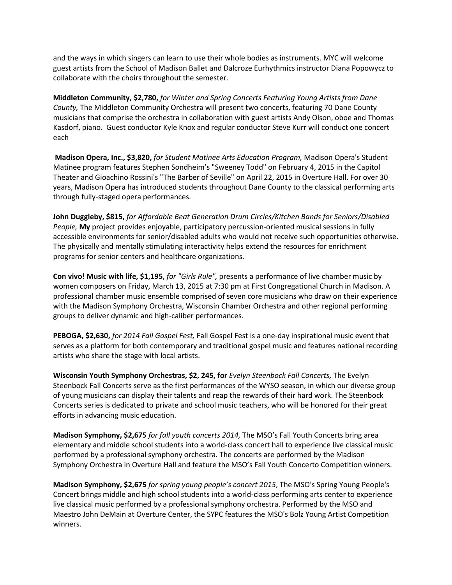and the ways in which singers can learn to use their whole bodies as instruments. MYC will welcome guest artists from the School of Madison Ballet and Dalcroze Eurhythmics instructor Diana Popowycz to collaborate with the choirs throughout the semester.

**Middleton Community, \$2,780,** *for Winter and Spring Concerts Featuring Young Artists from Dane County,* The Middleton Community Orchestra will present two concerts, featuring 70 Dane County musicians that comprise the orchestra in collaboration with guest artists Andy Olson, oboe and Thomas Kasdorf, piano. Guest conductor Kyle Knox and regular conductor Steve Kurr will conduct one concert each

**Madison Opera, Inc., \$3,820,** *for Student Matinee Arts Education Program,* Madison Opera's Student Matinee program features Stephen Sondheim's "Sweeney Todd" on February 4, 2015 in the Capitol Theater and Gioachino Rossini's "The Barber of Seville" on April 22, 2015 in Overture Hall. For over 30 years, Madison Opera has introduced students throughout Dane County to the classical performing arts through fully-staged opera performances.

**John Duggleby, \$815,** *for Affordable Beat Generation Drum Circles/Kitchen Bands for Seniors/Disabled People,* **My** project provides enjoyable, participatory percussion-oriented musical sessions in fully accessible environments for senior/disabled adults who would not receive such opportunities otherwise. The physically and mentally stimulating interactivity helps extend the resources for enrichment programs for senior centers and healthcare organizations.

**Con vivo! Music with life, \$1,195**, *for "Girls Rule",* presents a performance of live chamber music by women composers on Friday, March 13, 2015 at 7:30 pm at First Congregational Church in Madison. A professional chamber music ensemble comprised of seven core musicians who draw on their experience with the Madison Symphony Orchestra, Wisconsin Chamber Orchestra and other regional performing groups to deliver dynamic and high-caliber performances.

**PEBOGA, \$2,630,** *for 2014 Fall Gospel Fest,* Fall Gospel Fest is a one-day inspirational music event that serves as a platform for both contemporary and traditional gospel music and features national recording artists who share the stage with local artists.

**Wisconsin Youth Symphony Orchestras, \$2, 245, for** *Evelyn Steenbock Fall Concerts,* The Evelyn Steenbock Fall Concerts serve as the first performances of the WYSO season, in which our diverse group of young musicians can display their talents and reap the rewards of their hard work. The Steenbock Concerts series is dedicated to private and school music teachers, who will be honored for their great efforts in advancing music education.

**Madison Symphony, \$2,675** *for fall youth concerts 2014,* The MSO's Fall Youth Concerts bring area elementary and middle school students into a world-class concert hall to experience live classical music performed by a professional symphony orchestra. The concerts are performed by the Madison Symphony Orchestra in Overture Hall and feature the MSO's Fall Youth Concerto Competition winners.

**Madison Symphony, \$2,675** *for spring young people's concert 2015*, The MSO's Spring Young People's Concert brings middle and high school students into a world-class performing arts center to experience live classical music performed by a professional symphony orchestra. Performed by the MSO and Maestro John DeMain at Overture Center, the SYPC features the MSO's Bolz Young Artist Competition winners.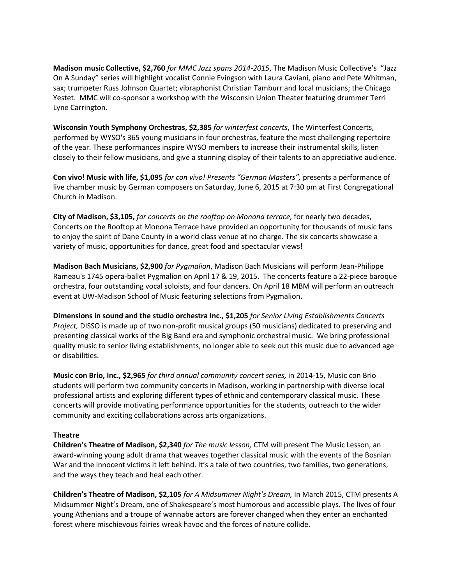**Madison music Collective, \$2,760** *for MMC Jazz spans 2014-2015*, The Madison Music Collective's "Jazz On A Sunday" series will highlight vocalist Connie Evingson with Laura Caviani, piano and Pete Whitman, sax; trumpeter Russ Johnson Quartet; vibraphonist Christian Tamburr and local musicians; the Chicago Yestet. MMC will co-sponsor a workshop with the Wisconsin Union Theater featuring drummer Terri Lyne Carrington.

**Wisconsin Youth Symphony Orchestras, \$2,385** *for winterfest concerts*, The Winterfest Concerts, performed by WYSO's 365 young musicians in four orchestras, feature the most challenging repertoire of the year. These performances inspire WYSO members to increase their instrumental skills, listen closely to their fellow musicians, and give a stunning display of their talents to an appreciative audience.

**Con vivo! Music with life, \$1,095** *for con vivo! Presents "German Masters",* presents a performance of live chamber music by German composers on Saturday, June 6, 2015 at 7:30 pm at First Congregational Church in Madison.

**City of Madison, \$3,105,** *for concerts on the rooftop on Monona terrace,* for nearly two decades, Concerts on the Rooftop at Monona Terrace have provided an opportunity for thousands of music fans to enjoy the spirit of Dane County in a world class venue at no charge. The six concerts showcase a variety of music, opportunities for dance, great food and spectacular views!

**Madison Bach Musicians, \$2,900** *for Pygmalion*, Madison Bach Musicians will perform Jean-Philippe Rameau's 1745 opera-ballet Pygmalion on April 17 & 19, 2015. The concerts feature a 22-piece baroque orchestra, four outstanding vocal soloists, and four dancers. On April 18 MBM will perform an outreach event at UW-Madison School of Music featuring selections from Pygmalion.

**Dimensions in sound and the studio orchestra Inc., \$1,205** *for Senior Living Establishments Concerts Project,* DISSO is made up of two non-profit musical groups (50 musicians) dedicated to preserving and presenting classical works of the Big Band era and symphonic orchestral music. We bring professional quality music to senior living establishments, no longer able to seek out this music due to advanced age or disabilities.

**Music con Brio, Inc., \$2,965** *for third annual community concert series,* in 2014-15, Music con Brio students will perform two community concerts in Madison, working in partnership with diverse local professional artists and exploring different types of ethnic and contemporary classical music. These concerts will provide motivating performance opportunities for the students, outreach to the wider community and exciting collaborations across arts organizations.

### **Theatre**

**Children's Theatre of Madison, \$2,340** *for The music lesson,* CTM will present The Music Lesson, an award-winning young adult drama that weaves together classical music with the events of the Bosnian War and the innocent victims it left behind. It's a tale of two countries, two families, two generations, and the ways they teach and heal each other.

**Children's Theatre of Madison, \$2,105** *for A Midsummer Night's Dream,* In March 2015, CTM presents A Midsummer Night's Dream, one of Shakespeare's most humorous and accessible plays. The lives of four young Athenians and a troupe of wannabe actors are forever changed when they enter an enchanted forest where mischievous fairies wreak havoc and the forces of nature collide.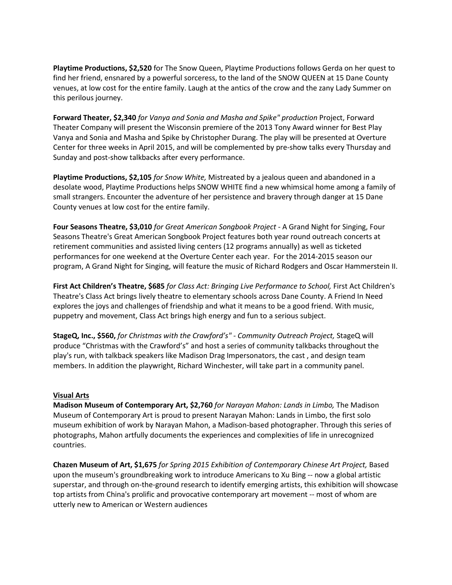**Playtime Productions, \$2,520** for The Snow Queen, Playtime Productions follows Gerda on her quest to find her friend, ensnared by a powerful sorceress, to the land of the SNOW QUEEN at 15 Dane County venues, at low cost for the entire family. Laugh at the antics of the crow and the zany Lady Summer on this perilous journey.

**Forward Theater, \$2,340** *for Vanya and Sonia and Masha and Spike" production* Project, Forward Theater Company will present the Wisconsin premiere of the 2013 Tony Award winner for Best Play Vanya and Sonia and Masha and Spike by Christopher Durang. The play will be presented at Overture Center for three weeks in April 2015, and will be complemented by pre-show talks every Thursday and Sunday and post-show talkbacks after every performance.

**Playtime Productions, \$2,105** *for Snow White,* Mistreated by a jealous queen and abandoned in a desolate wood, Playtime Productions helps SNOW WHITE find a new whimsical home among a family of small strangers. Encounter the adventure of her persistence and bravery through danger at 15 Dane County venues at low cost for the entire family.

**Four Seasons Theatre, \$3,010** *for Great American Songbook Project* - A Grand Night for Singing, Four Seasons Theatre's Great American Songbook Project features both year round outreach concerts at retirement communities and assisted living centers (12 programs annually) as well as ticketed performances for one weekend at the Overture Center each year. For the 2014-2015 season our program, A Grand Night for Singing, will feature the music of Richard Rodgers and Oscar Hammerstein II.

**First Act Children's Theatre, \$685** *for Class Act: Bringing Live Performance to School,* First Act Children's Theatre's Class Act brings lively theatre to elementary schools across Dane County. A Friend In Need explores the joys and challenges of friendship and what it means to be a good friend. With music, puppetry and movement, Class Act brings high energy and fun to a serious subject.

**StageQ, Inc., \$560,** *for Christmas with the Crawford's" - Community Outreach Project,* StageQ will produce "Christmas with the Crawford's" and host a series of community talkbacks throughout the play's run, with talkback speakers like Madison Drag Impersonators, the cast , and design team members. In addition the playwright, Richard Winchester, will take part in a community panel.

### **Visual Arts**

**Madison Museum of Contemporary Art, \$2,760** *for Narayan Mahon: Lands in Limbo,* The Madison Museum of Contemporary Art is proud to present Narayan Mahon: Lands in Limbo, the first solo museum exhibition of work by Narayan Mahon, a Madison-based photographer. Through this series of photographs, Mahon artfully documents the experiences and complexities of life in unrecognized countries.

**Chazen Museum of Art, \$1,675** *for Spring 2015 Exhibition of Contemporary Chinese Art Project,* Based upon the museum's groundbreaking work to introduce Americans to Xu Bing -- now a global artistic superstar, and through on-the-ground research to identify emerging artists, this exhibition will showcase top artists from China's prolific and provocative contemporary art movement -- most of whom are utterly new to American or Western audiences